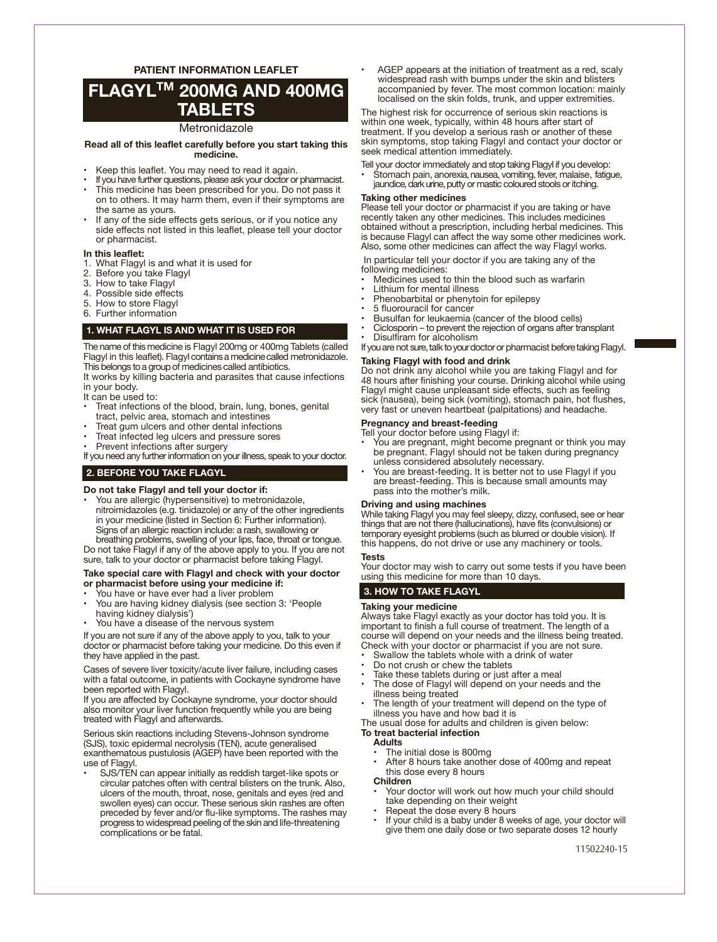# **FLAGYLTM 200MG AND 400MG TABLETS**

### Metronidazole

**Read all of this leaflet carefully before you start taking this medicine.**

- Keep this leaflet. You may need to read it again.
- If you have further questions, please ask your doctor or pharmacist. This medicine has been prescribed for you. Do not pass it on to others. It may harm them, even if their symptoms are the same as yours.
- If any of the side effects gets serious, or if you notice any side effects not listed in this leaflet, please tell your doctor or pharmacist.

#### **In this leaflet:**

- 1. What Flagyl is and what it is used for
- 2. Before you take Flagyl
- 3. How to take Flagyl<br>4. Possible side effect
- Possible side effects
- 5. How to store Flagyl
- 6. Further information

# **1. WHAT FLAGYL IS AND WHAT IT IS USED FOR**

The name of this medicine is Flagyl 200mg or 400mg Tablets (called Flagyl in this leaflet). Flagylcontainsa medicinecalled metronidazole. This belongs to a group of medicines called antibiotics.

It works by killing bacteria and parasites that cause infections in your body.

- It can be used to:
- Treat infections of the blood, brain, lung, bones, genital tract, pelvic area, stomach and intestines
- Treat gum ulcers and other dental infections
- Treat infected leg ulcers and pressure sores
- Prevent infections after surgery

If you need any further information on your illness, speak to your doctor.

# **2. BEFORE YOU TAKE FLAGYL**

#### **Do not take Flagyl and tell your doctor if:**

• You are allergic (hypersensitive) to metronidazole, nitroimidazoles (e.g. tinidazole) or any of the other ingredients in your medicine (listed in Section 6: Further information). Signs of an allergic reaction include: a rash, swallowing or breathing problems, swelling of your lips, face, throat or tongue.

Do not take Flagyl if any of the above apply to you. If you are not sure, talk to your doctor or pharmacist before taking Flagyl.

#### **Take special care with Flagyl and check with your doctor or pharmacist before using your medicine if:**

- You have or have ever had a liver problem
- You are having kidney dialysis (see section 3: 'People having kidney dialysis')
- You have a disease of the nervous system

If you are not sure if any of the above apply to you, talk to your doctor or pharmacist before taking your medicine. Do this even if they have applied in the past.

Cases of severe liver toxicity/acute liver failure, including cases with a fatal outcome, in patients with Cockayne syndrome have been reported with Flagyl.

If you are affected by Cockayne syndrome, your doctor should also monitor your liver function frequently while you are being treated with Flagyl and afterwards.

Serious skin reactions including Stevens-Johnson syndrome (SJS), toxic epidermal necrolysis (TEN), acute generalised exanthematous pustulosis (AGEP) have been reported with the use of Flagyl.

SJS/TEN can appear initially as reddish target-like spots or circular patches often with central blisters on the trunk. Also, ulcers of the mouth, throat, nose, genitals and eyes (red and swollen eyes) can occur. These serious skin rashes are often preceded by fever and/or flu-like symptoms. The rashes may progress to widespread peeling of the skin and life- threatening complications or be fatal.

AGEP appears at the initiation of treatment as a red, scaly widespread rash with bumps under the skin and blisters accompanied by fever. The most common location: mainly localised on the skin folds, trunk, and upper extremities.

The highest risk for occurrence of serious skin reactions is within one week, typically, within 48 hours after start of treatment. If you develop a serious rash or another of these skin symptoms, stop taking Flagyl and contact your doctor or seek medical attention immediately.

Tell your doctor immediately and stop taking Flagyl if you develop:

• Stomach pain, anorexia, nausea, vomiting, fever, malaise, fatigue, jaundice, dark urine, putty or mastic coloured stools or itching.

#### **Taking other medicines**

Please tell your doctor or pharmacist if you are taking or have recently taken any other medicines. This includes medicines obtained without a prescription, including herbal medicines. This is because Flagyl can affect the way some other medicines work. Also, some other medicines can affect the way Flagyl works.

 In particular tell your doctor if you are taking any of the following medicines:

- Medicines used to thin the blood such as warfarin
- Lithium for mental illness
- Phenobarbital or phenytoin for epilepsy
- 5 fluorouracil for cancer
- Busulfan for leukaemia (cancer of the blood cells) • Ciclosporin – to prevent the rejection of organs after transplant
- Disulfiram for alcoholism
- If you are not sure, talk to your doctor or pharmacist before taking Flagyl.

# **Taking Flagyl with food and drink**

Do not drink any alcohol while you are taking Flagyl and for 48 hours after finishing your course. Drinking alcohol while using Flagyl might cause unpleasant side effects, such as feeling sick (nausea), being sick (vomiting), stomach pain, hot flushes, very fast or uneven heartbeat (palpitations) and headache.

#### **Pregnancy and breast-feeding**

- Tell your doctor before using Flagyl if:
- You are pregnant, might become pregnant or think you may be pregnant. Flagyl should not be taken during pregnancy unless considered absolutely necessary.
- You are breast-feeding. It is better not to use Flagyl if you are breast-feeding. This is because small amounts may pass into the mother's milk.

### **Driving and using machines**

While taking Flagyl you may feel sleepy, dizzy, confused, see or hear things that are not there (hallucinations), have fits (convulsions) or temporary eyesight problems (such as blurred or double vision). If this happens, do not drive or use any machinery or tools.

# **Tests**

Your doctor may wish to carry out some tests if you have been using this medicine for more than 10 days.

# **3. HOW TO TAKE FLAGYL**

#### **Taking your medicine**

Always take Flagyl exactly as your doctor has told you. It is important to finish a full course of treatment. The length of a course will depend on your needs and the illness being treated. Check with your doctor or pharmacist if you are not sure.

- Swallow the tablets whole with a drink of water
- Do not crush or chew the tablets
- Take these tablets during or just after a meal
- The dose of Flagyl will depend on your needs and the illness being treated
- The length of your treatment will depend on the type of illness you have and how bad it is

The usual dose for adults and children is given below: **To treat bacterial infection**

# **Adults**

- The initial dose is 800mg
- After 8 hours take another dose of 400mg and repeat this dose every 8 hours

#### **Children**

- Your doctor will work out how much your child should take depending on their weight
- Repeat the dose every 8 hours
- If your child is a baby under 8 weeks of age, your doctor will give them one daily dose or two separate doses 12 hourly